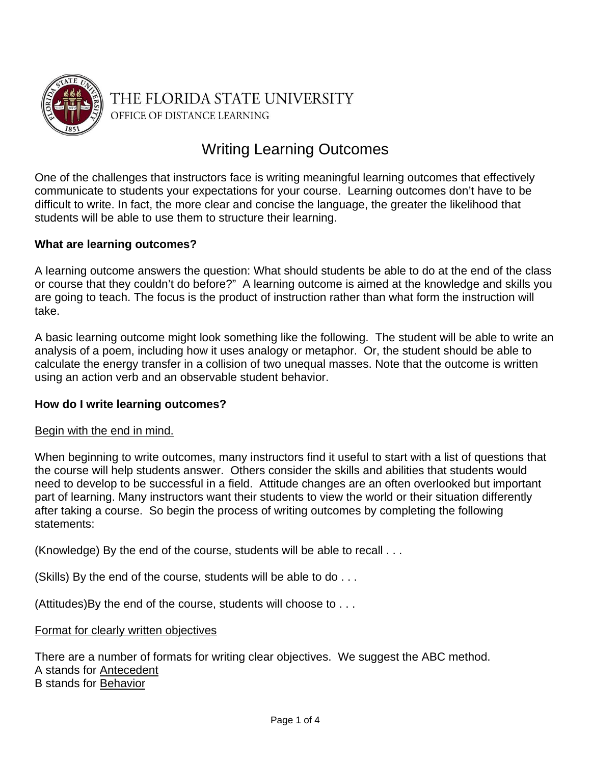

THE FLORIDA STATE UNIVERSITY OFFICE OF DISTANCE LEARNING

# Writing Learning Outcomes

One of the challenges that instructors face is writing meaningful learning outcomes that effectively communicate to students your expectations for your course. Learning outcomes don't have to be difficult to write. In fact, the more clear and concise the language, the greater the likelihood that students will be able to use them to structure their learning.

## **What are learning outcomes?**

A learning outcome answers the question: What should students be able to do at the end of the class or course that they couldn't do before?" A learning outcome is aimed at the knowledge and skills you are going to teach. The focus is the product of instruction rather than what form the instruction will take.

A basic learning outcome might look something like the following. The student will be able to write an analysis of a poem, including how it uses analogy or metaphor. Or, the student should be able to calculate the energy transfer in a collision of two unequal masses. Note that the outcome is written using an action verb and an observable student behavior.

## **How do I write learning outcomes?**

#### Begin with the end in mind.

When beginning to write outcomes, many instructors find it useful to start with a list of questions that the course will help students answer. Others consider the skills and abilities that students would need to develop to be successful in a field. Attitude changes are an often overlooked but important part of learning. Many instructors want their students to view the world or their situation differently after taking a course. So begin the process of writing outcomes by completing the following statements:

(Knowledge) By the end of the course, students will be able to recall . . .

(Skills) By the end of the course, students will be able to do . . .

(Attitudes)By the end of the course, students will choose to . . .

#### Format for clearly written objectives

There are a number of formats for writing clear objectives. We suggest the ABC method. A stands for Antecedent B stands for Behavior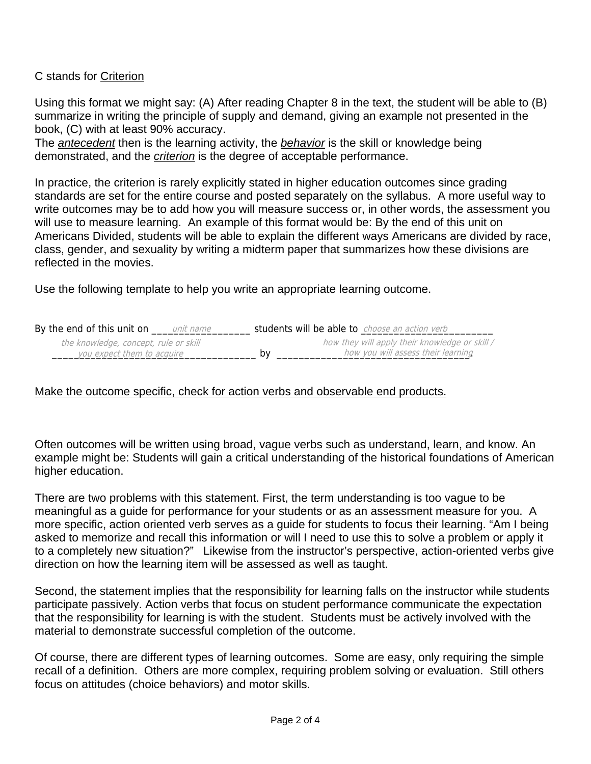# C stands for Criterion

Using this format we might say: (A) After reading Chapter 8 in the text, the student will be able to (B) summarize in writing the principle of supply and demand, giving an example not presented in the book, (C) with at least 90% accuracy.

The *antecedent* then is the learning activity, the *behavior* is the skill or knowledge being demonstrated, and the *criterion* is the degree of acceptable performance.

In practice, the criterion is rarely explicitly stated in higher education outcomes since grading standards are set for the entire course and posted separately on the syllabus. A more useful way to write outcomes may be to add how you will measure success or, in other words, the assessment you will use to measure learning. An example of this format would be: By the end of this unit on Americans Divided, students will be able to explain the different ways Americans are divided by race, class, gender, and sexuality by writing a midterm paper that summarizes how these divisions are reflected in the movies.

Use the following template to help you write an appropriate learning outcome.

| By the end of this unit on<br>unit name | students will be able to choose an action verb |
|-----------------------------------------|------------------------------------------------|
| the knowledge, concept, rule or skill   | how they will apply their knowledge or skill / |
| you expect them to acquire              | how you will assess their learning<br>bv       |

## Make the outcome specific, check for action verbs and observable end products.

Often outcomes will be written using broad, vague verbs such as understand, learn, and know. An example might be: Students will gain a critical understanding of the historical foundations of American higher education.

There are two problems with this statement. First, the term understanding is too vague to be meaningful as a guide for performance for your students or as an assessment measure for you. A more specific, action oriented verb serves as a guide for students to focus their learning. "Am I being asked to memorize and recall this information or will I need to use this to solve a problem or apply it to a completely new situation?" Likewise from the instructor's perspective, action-oriented verbs give direction on how the learning item will be assessed as well as taught.

Second, the statement implies that the responsibility for learning falls on the instructor while students participate passively. Action verbs that focus on student performance communicate the expectation that the responsibility for learning is with the student. Students must be actively involved with the material to demonstrate successful completion of the outcome.

Of course, there are different types of learning outcomes. Some are easy, only requiring the simple recall of a definition. Others are more complex, requiring problem solving or evaluation. Still others focus on attitudes (choice behaviors) and motor skills.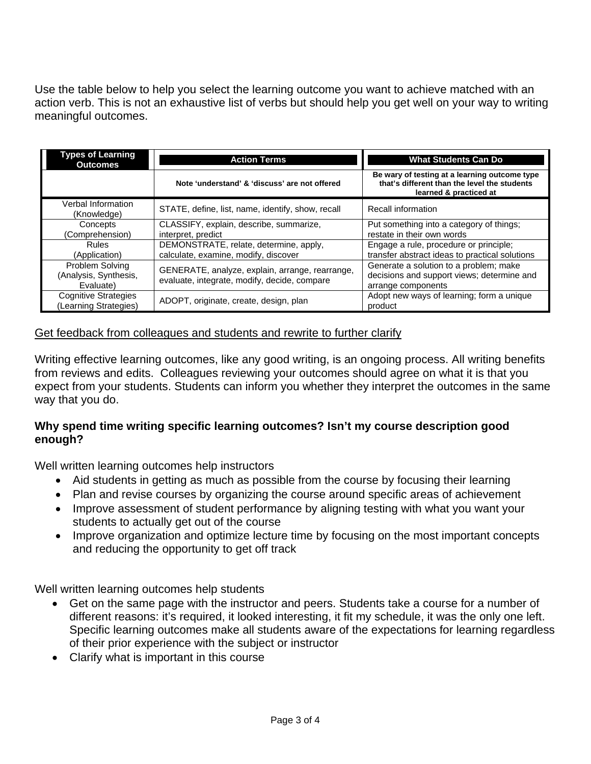Use the table below to help you select the learning outcome you want to achieve matched with an action verb. This is not an exhaustive list of verbs but should help you get well on your way to writing meaningful outcomes.

| Types of Learning<br><b>Outcomes</b>                  | <b>Action Terms</b>                                                                             | <b>What Students Can Do</b>                                                                                             |
|-------------------------------------------------------|-------------------------------------------------------------------------------------------------|-------------------------------------------------------------------------------------------------------------------------|
|                                                       | Note 'understand' & 'discuss' are not offered                                                   | Be wary of testing at a learning outcome type<br>that's different than the level the students<br>learned & practiced at |
| Verbal Information<br>(Knowledge)                     | STATE, define, list, name, identify, show, recall                                               | Recall information                                                                                                      |
| Concepts<br>(Comprehension)                           | CLASSIFY, explain, describe, summarize,<br>interpret, predict                                   | Put something into a category of things;<br>restate in their own words                                                  |
| Rules<br>(Application)                                | DEMONSTRATE, relate, determine, apply,<br>calculate, examine, modify, discover                  | Engage a rule, procedure or principle;<br>transfer abstract ideas to practical solutions                                |
| Problem Solving<br>(Analysis, Synthesis,<br>Evaluate) | GENERATE, analyze, explain, arrange, rearrange,<br>evaluate, integrate, modify, decide, compare | Generate a solution to a problem; make<br>decisions and support views; determine and<br>arrange components              |
| <b>Cognitive Strategies</b><br>(Learning Strategies)  | ADOPT, originate, create, design, plan                                                          | Adopt new ways of learning; form a unique<br>product                                                                    |

## Get feedback from colleagues and students and rewrite to further clarify

Writing effective learning outcomes, like any good writing, is an ongoing process. All writing benefits from reviews and edits. Colleagues reviewing your outcomes should agree on what it is that you expect from your students. Students can inform you whether they interpret the outcomes in the same way that you do.

## **Why spend time writing specific learning outcomes? Isn't my course description good enough?**

Well written learning outcomes help instructors

- Aid students in getting as much as possible from the course by focusing their learning
- Plan and revise courses by organizing the course around specific areas of achievement
- Improve assessment of student performance by aligning testing with what you want your students to actually get out of the course
- Improve organization and optimize lecture time by focusing on the most important concepts and reducing the opportunity to get off track

Well written learning outcomes help students

- Get on the same page with the instructor and peers. Students take a course for a number of different reasons: it's required, it looked interesting, it fit my schedule, it was the only one left. Specific learning outcomes make all students aware of the expectations for learning regardless of their prior experience with the subject or instructor
- Clarify what is important in this course